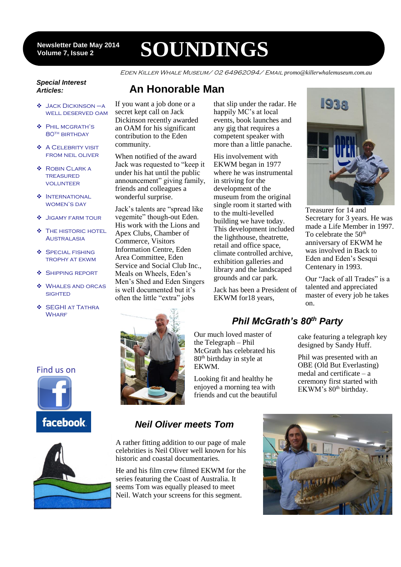#### 7 **Volume 7, Issue 2 Newsletter Date May 2014**

# **SOUNDINGS**

Eden Killer Whale Museum/ 02 64962094/ Email *promo@killerwhalemuseum.com.au*

#### *Special Interest Articles:*

- Jack Dickinson –a well deserved oam
- Phil mcgrath's 80<sup>TH</sup> BIRTHDAY
- ◆ A CELEBRITY VISIT from neil oliver
- Robin Clark a **TREASURED** volunteer
- $\lozenge$  INTERNATIONAL WOMEN'S DAY
- Jigamy farm tour
- $\bullet$  THE HISTORIC HOTEL **AUSTRALASIA**
- **SPECIAL FISHING** trophy at ekwm
- **❖ SHIPPING REPORT**
- Whales and orcas **SIGHTED**
- ◆ SEGHI AT TATHRA **WHARF**

# **An Honorable Man**

If you want a job done or a secret kept call on Jack Dickinson recently awarded an OAM for his significant contribution to the Eden community.

When notified of the award Jack was requested to "keep it under his hat until the public announcement" giving family, friends and colleagues a wonderful surprise.

Jack's talents are "spread like vegemite" though-out Eden. His work with the Lions and Apex Clubs, Chamber of Commerce, Visitors Information Centre, Eden Area Committee, Eden Service and Social Club Inc., Meals on Wheels, Eden's Men's Shed and Eden Singers is well documented but it's often the little "extra" jobs

that slip under the radar. He happily MC's at local events, book launches and any gig that requires a competent speaker with more than a little panache.

His involvement with EKWM began in 1977 where he was instrumental in striving for the development of the museum from the original single room it started with to the multi-levelled building we have today. This development included the lighthouse, theatrette, retail and office space, climate controlled archive, exhibition galleries and library and the landscaped grounds and car park.

Jack has been a President of EKWM for18 years,

Our much loved master of the Telegraph – Phil McGrath has celebrated his 80th birthday in style at

Looking fit and healthy he enjoyed a morning tea with friends and cut the beautiful

EKWM.



Treasurer for 14 and Secretary for 3 years. He was made a Life Member in 1997. To celebrate the  $50<sup>th</sup>$ anniversary of EKWM he was involved in Back to Eden and Eden's Sesqui Centenary in 1993.

Our "Jack of all Trades" is a talented and appreciated master of every job he takes on.



## *Phil McGrath's 80th Party*

cake featuring a telegraph key designed by Sandy Huff.

Phil was presented with an OBE (Old But Everlasting) medal and certificate – a ceremony first started with EKWM's 80<sup>th</sup> birthday.

#### Find us on





A rather fitting addition to our page of male celebrities is Neil Oliver well known for his historic and coastal documentaries.

He and his film crew filmed EKWM for the series featuring the Coast of Australia. It seems Tom was equally pleased to meet Neil. Watch your screens for this segment.

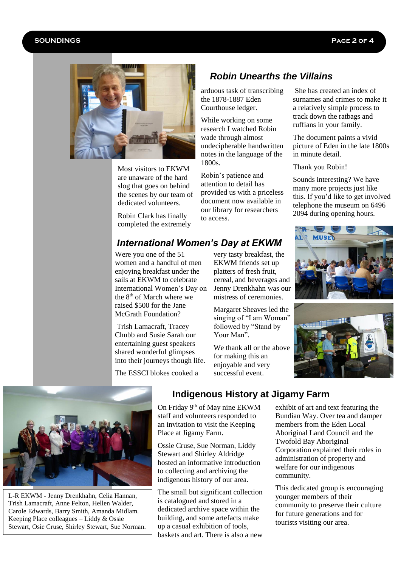#### **SOUNDINGS Page 2 of 4**



Most visitors to EKWM are unaware of the hard slog that goes on behind the scenes by our team of dedicated volunteers.

Robin Clark has finally completed the extremely

### *Robin Unearths the Villains*

arduous task of transcribing the 1878-1887 Eden Courthouse ledger.

While working on some research I watched Robin wade through almost undecipherable handwritten notes in the language of the 1800s.

Robin's patience and attention to detail has provided us with a priceless document now available in our library for researchers to access.

#### *International Women's Day at EKWM*

Were you one of the 51 women and a handful of men enjoying breakfast under the sails at EKWM to celebrate International Women's Day on the  $8<sup>th</sup>$  of March where we raised \$500 for the Jane McGrath Foundation?

Trish Lamacraft, Tracey Chubb and Susie Sarah our entertaining guest speakers shared wonderful glimpses into their journeys though life.

The ESSCI blokes cooked a

very tasty breakfast, the EKWM friends set up platters of fresh fruit, cereal, and beverages and Jenny Drenkhahn was our mistress of ceremonies.

Margaret Sheaves led the singing of "I am Woman" followed by "Stand by Your Man".

We thank all or the above for making this an enjoyable and very successful event.

track down the ratbags and ruffians in your family. The document paints a vivid picture of Eden in the late 1800s in minute detail.

She has created an index of surnames and crimes to make it a relatively simple process to

Thank you Robin!

Sounds interesting? We have many more projects just like this. If you'd like to get involved telephone the museum on 6496 2094 during opening hours.







L-R EKWM - Jenny Drenkhahn, Celia Hannan, Trish Lamacraft, Anne Felton, Hellen Walder, Carole Edwards, Barry Smith, Amanda Midlam. Keeping Place colleagues – Liddy & Ossie Stewart, Osie Cruse, Shirley Stewart, Sue Norman.

## **Indigenous History at Jigamy Farm**

On Friday 9<sup>th</sup> of May nine EKWM staff and volunteers responded to an invitation to visit the Keeping Place at Jigamy Farm.

Ossie Cruse, Sue Norman, Liddy Stewart and Shirley Aldridge hosted an informative introduction to collecting and archiving the indigenous history of our area.

The small but significant collection is catalogued and stored in a dedicated archive space within the building, and some artefacts make up a casual exhibition of tools, baskets and art. There is also a new . Aboriginal Land Council and the exhibit of art and text featuring the Bundian Way. Over tea and damper members from the Eden Local Twofold Bay Aboriginal Corporation explained their roles in administration of property and welfare for our indigenous community.

This dedicated group is encouraging younger members of their community to preserve their culture for future generations and for tourists visiting our area.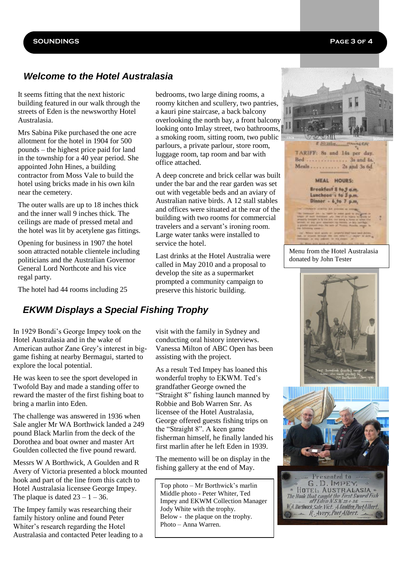#### *Welcome to the Hotel Australasia*

It seems fitting that the next historic building featured in our walk through the streets of Eden is the newsworthy Hotel Australasia.

Mrs Sabina Pike purchased the one acre allotment for the hotel in 1904 for 500 pounds – the highest price paid for land in the township for a 40 year period. She appointed John Hines, a building contractor from Moss Vale to build the hotel using bricks made in his own kiln near the cemetery.

The outer walls are up to 18 inches thick and the inner wall 9 inches thick. The ceilings are made of pressed metal and the hotel was lit by acetylene gas fittings.

Opening for business in 1907 the hotel soon attracted notable clientele including politicians and the Australian Governor General Lord Northcote and his vice regal party.

The hotel had 44 rooms including 25

## *EKWM Displays a Special Fishing Trophy*

In 1929 Bondi's George Impey took on the Hotel Australasia and in the wake of American author Zane Grey's interest in biggame fishing at nearby Bermagui, started to explore the local potential.

He was keen to see the sport developed in Twofold Bay and made a standing offer to reward the master of the first fishing boat to bring a marlin into Eden.

The challenge was answered in 1936 when Sale angler Mr WA Borthwick landed a 249 pound Black Marlin from the deck of the Dorothea and boat owner and master Art Goulden collected the five pound reward.

Messrs W A Borthwick, A Goulden and R Avery of Victoria presented a block mounted hook and part of the line from this catch to Hotel Australasia licensee George Impey. The plaque is dated  $23 - 1 - 36$ .

The Impey family was researching their family history online and found Peter Whiter's research regarding the Hotel Australasia and contacted Peter leading to a

bedrooms, two large dining rooms, a roomy kitchen and scullery, two pantries, a kauri pine staircase, a back balcony overlooking the north bay, a front balcony looking onto Imlay street, two bathrooms, a smoking room, sitting room, two public parlours, a private parlour, store room, luggage room, tap room and bar with office attached.

A deep concrete and brick cellar was built under the bar and the rear garden was set out with vegetable beds and an aviary of Australian native birds. A 12 stall stables and offices were situated at the rear of the building with two rooms for commercial travelers and a servant's ironing room. Large water tanks were installed to service the hotel.

Last drinks at the Hotel Australia were called in May 2010 and a proposal to develop the site as a supermarket prompted a community campaign to preserve this historic building.

visit with the family in Sydney and conducting oral history interviews. Vanessa Milton of ABC Open has been assisting with the project.

As a result Ted Impey has loaned this wonderful trophy to EKWM. Ted's grandfather George owned the "Straight 8" fishing launch manned by Robbie and Bob Warren Snr. As licensee of the Hotel Australasia, George offered guests fishing trips on the "Straight 8". A keen game fisherman himself, he finally landed his first marlin after he left Eden in 1939.

The memento will be on display in the fishing gallery at the end of May.

Top photo – Mr Borthwick's marlin Middle photo - Peter Whiter, Ted Impey and EKWM Collection Manager Jody White with the trophy. Below - the plaque on the trophy. Photo – Anna Warren.



Menu from the Hotel Australasia donated by John Tester





Presented to G.D. IMPEY, HOTEL AUSTRALASIA . The Hook that caught the First Sword Fish W.A. Borthwick, Sale: Vict. A. Goulden, Port Albert.